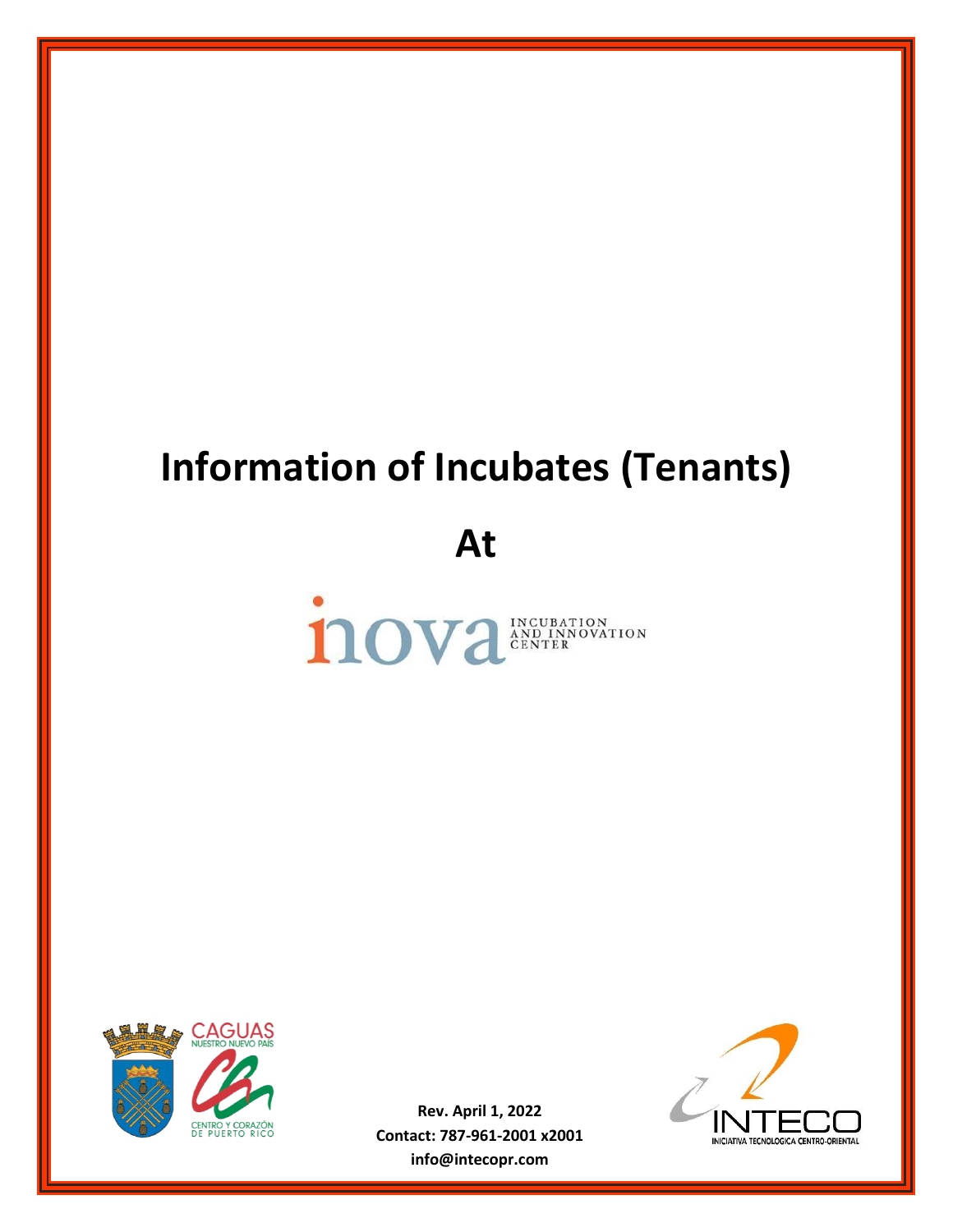## **Information of Incubates (Tenants)**

**At**





**Rev. April 1, 2022 Contact: 787-961-2001 x2001 info@intecopr.com**

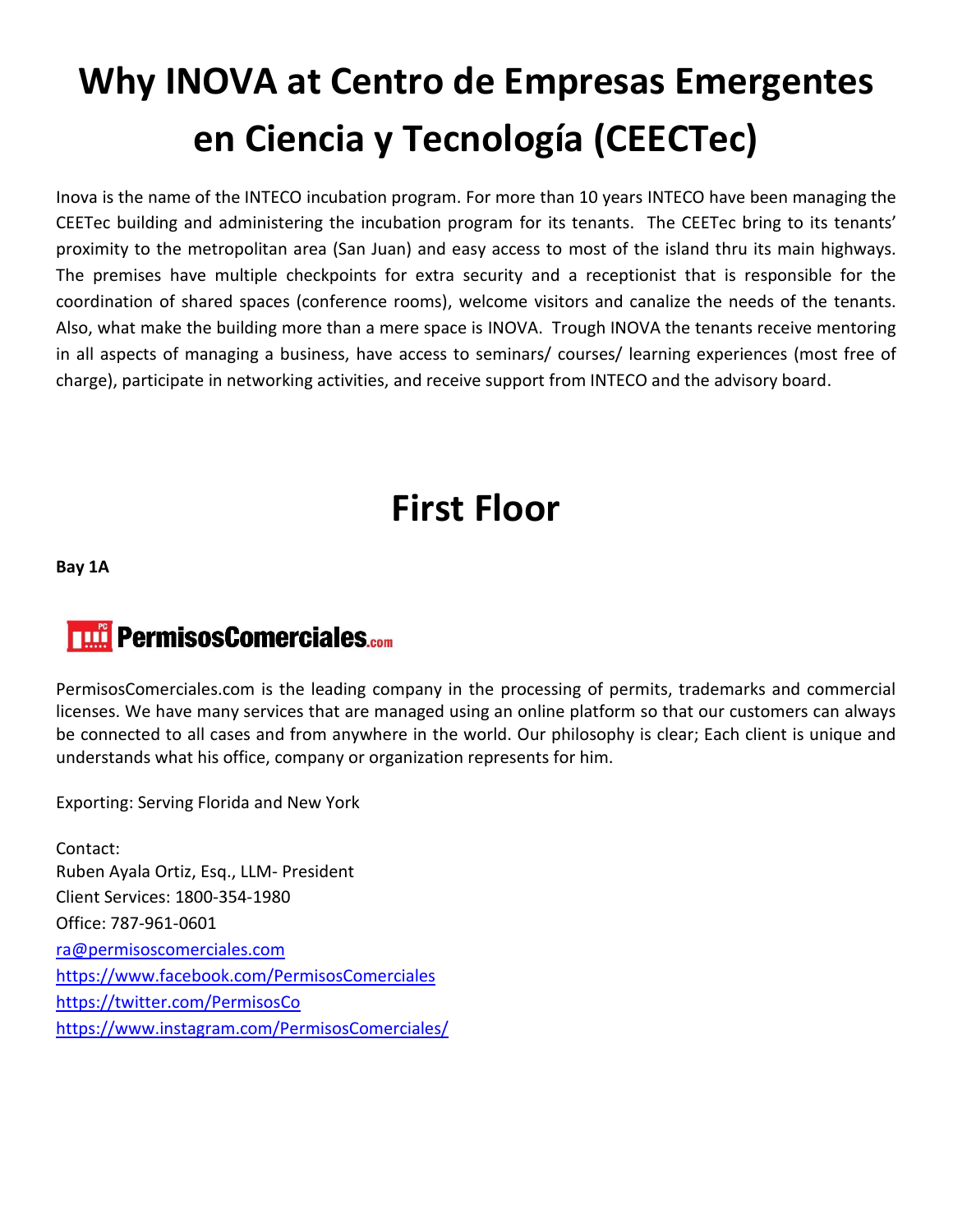## **Why INOVA at Centro de Empresas Emergentes en Ciencia y Tecnología (CEECTec)**

Inova is the name of the INTECO incubation program. For more than 10 years INTECO have been managing the CEETec building and administering the incubation program for its tenants. The CEETec bring to its tenants' proximity to the metropolitan area (San Juan) and easy access to most of the island thru its main highways. The premises have multiple checkpoints for extra security and a receptionist that is responsible for the coordination of shared spaces (conference rooms), welcome visitors and canalize the needs of the tenants. Also, what make the building more than a mere space is INOVA. Trough INOVA the tenants receive mentoring in all aspects of managing a business, have access to seminars/ courses/ learning experiences (most free of charge), participate in networking activities, and receive support from INTECO and the advisory board.

### **First Floor**

**Bay 1A**

### **THE PermisosComerciales.com**

PermisosComerciales.com is the leading company in the processing of permits, trademarks and commercial licenses. We have many services that are managed using an online platform so that our customers can always be connected to all cases and from anywhere in the world. Our philosophy is clear; Each client is unique and understands what his office, company or organization represents for him.

Exporting: Serving Florida and New York

Contact: Ruben Ayala Ortiz, Esq., LLM- President Client Services: 1800-354-1980 Office: 787-961-0601 [ra@permisoscomerciales.com](mailto:ra@permisoscomerciales.com) <https://www.facebook.com/PermisosComerciales> <https://twitter.com/PermisosCo> <https://www.instagram.com/PermisosComerciales/>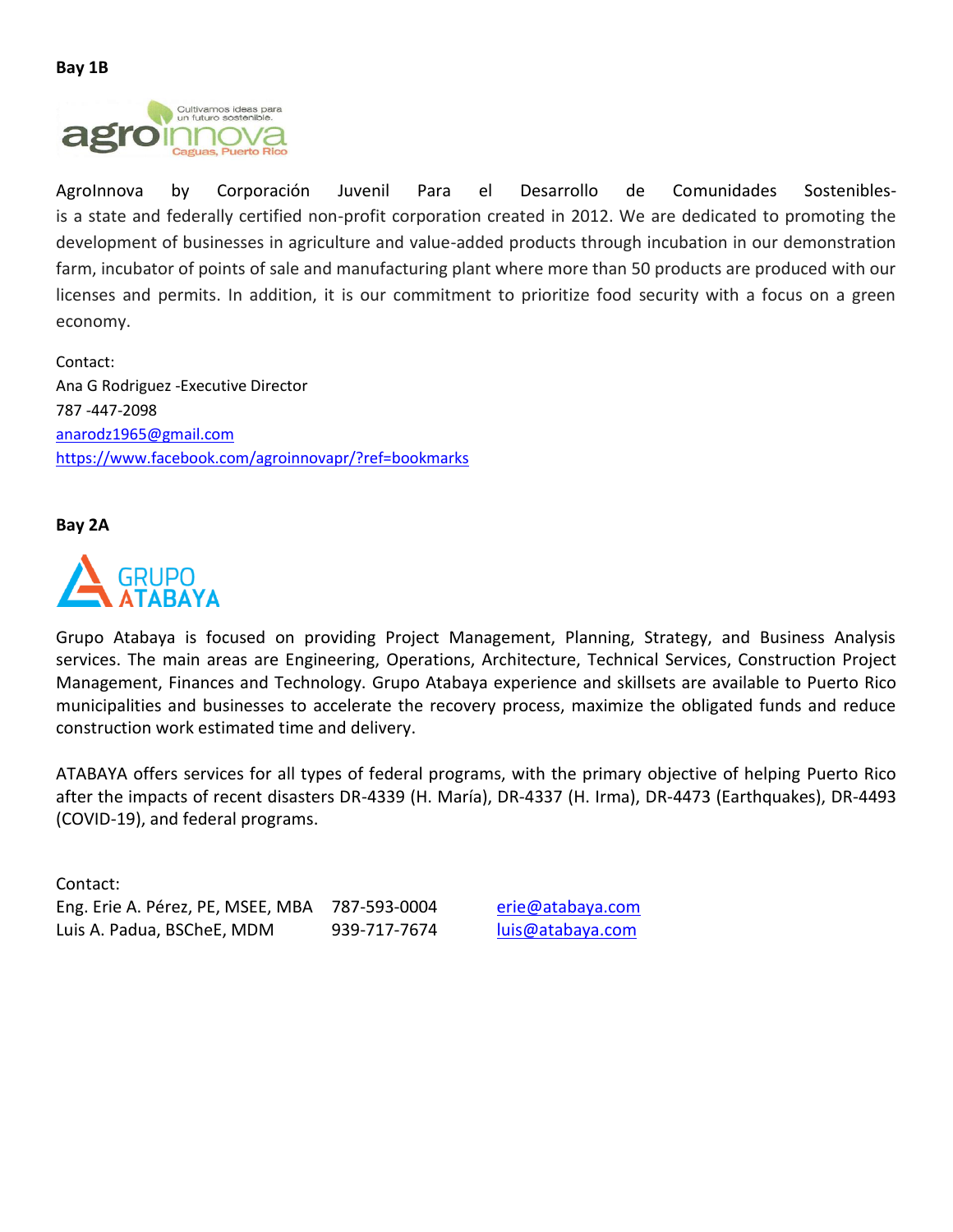

AgroInnova by Corporación Juvenil Para el Desarrollo de Comunidades Sosteniblesis a state and federally certified non-profit corporation created in 2012. We are dedicated to promoting the development of businesses in agriculture and value-added products through incubation in our demonstration farm, incubator of points of sale and manufacturing plant where more than 50 products are produced with our licenses and permits. In addition, it is our commitment to prioritize food security with a focus on a green economy.

Contact: Ana G Rodriguez -Executive Director 787 -447-2098 [anarodz1965@gmail.com](mailto:anarodz1965@gmail.com) <https://www.facebook.com/agroinnovapr/?ref=bookmarks>

**Bay 2A**



Grupo Atabaya is focused on providing Project Management, Planning, Strategy, and Business Analysis services. The main areas are Engineering, Operations, Architecture, Technical Services, Construction Project Management, Finances and Technology. Grupo Atabaya experience and skillsets are available to Puerto Rico municipalities and businesses to accelerate the recovery process, maximize the obligated funds and reduce construction work estimated time and delivery.

ATABAYA offers services for all types of federal programs, with the primary objective of helping Puerto Rico after the impacts of recent disasters DR-4339 (H. María), DR-4337 (H. Irma), DR-4473 (Earthquakes), DR-4493 (COVID-19), and federal programs.

Contact: Eng. Erie A. Pérez, PE, MSEE, MBA 787-593-0004 [erie@atabaya.com](mailto:erie@atabaya.com) Luis A. Padua, BSCheE, MDM 939-717-7674 [luis@atabaya.com](mailto:luis@atabaya.com)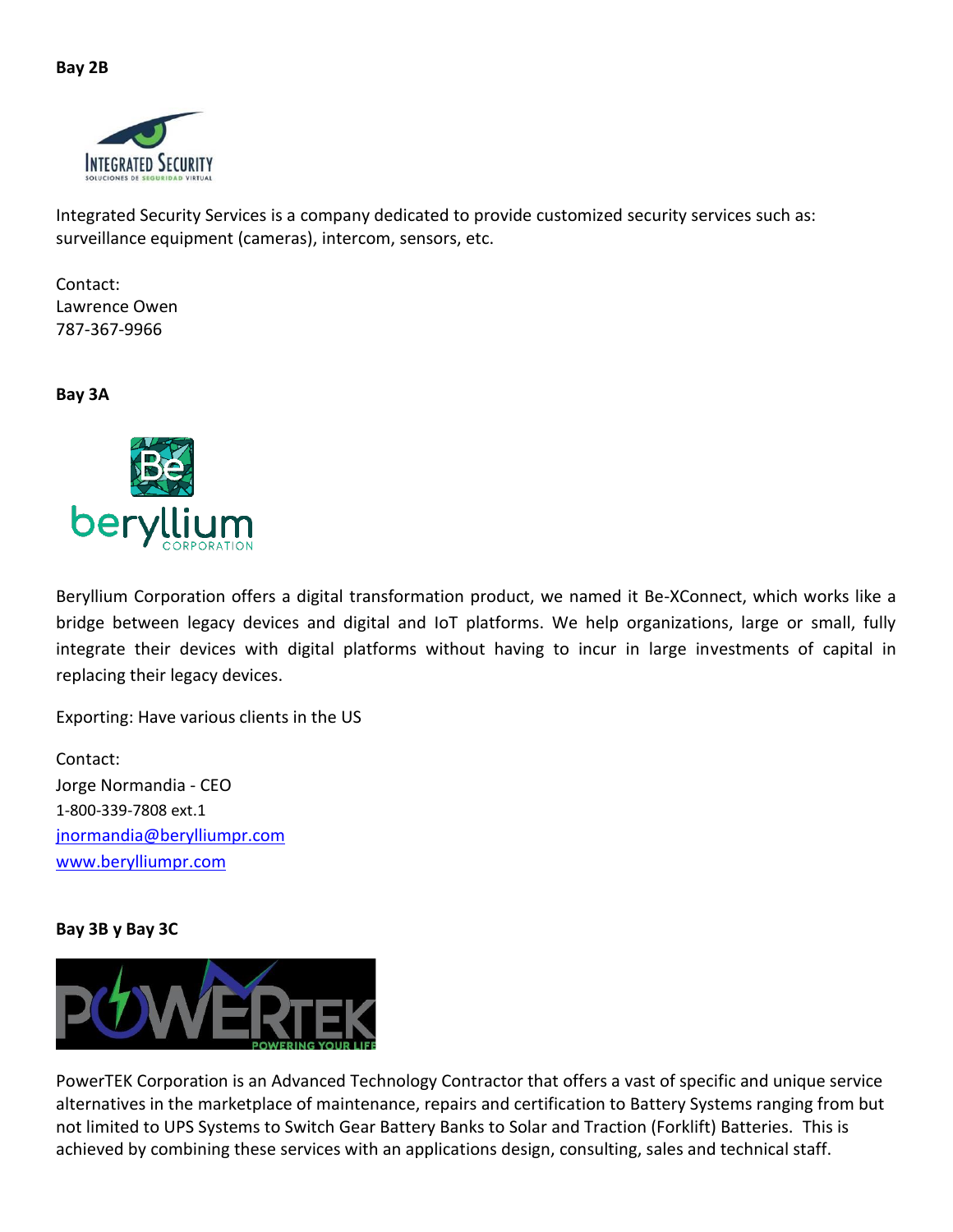

Integrated Security Services is a company dedicated to provide customized security services such as: surveillance equipment (cameras), intercom, sensors, etc.

Contact: Lawrence Owen 787-367-9966

**Bay 3A**



Beryllium Corporation offers a digital transformation product, we named it Be-XConnect, which works like a bridge between legacy devices and digital and IoT platforms. We help organizations, large or small, fully integrate their devices with digital platforms without having to incur in large investments of capital in replacing their legacy devices.

Exporting: Have various clients in the US

Contact: Jorge Normandia - CEO 1-800-339-7808 ext.1 [jnormandia@berylliumpr.com](mailto:jnormandia@berylliumpr.com) [www.berylliumpr.com](http://www.berylliumpr.com/)

#### **Bay 3B y Bay 3C**



PowerTEK Corporation is an Advanced Technology Contractor that offers a vast of specific and unique service alternatives in the marketplace of maintenance, repairs and certification to Battery Systems ranging from but not limited to UPS Systems to Switch Gear Battery Banks to Solar and Traction (Forklift) Batteries. This is achieved by combining these services with an applications design, consulting, sales and technical staff.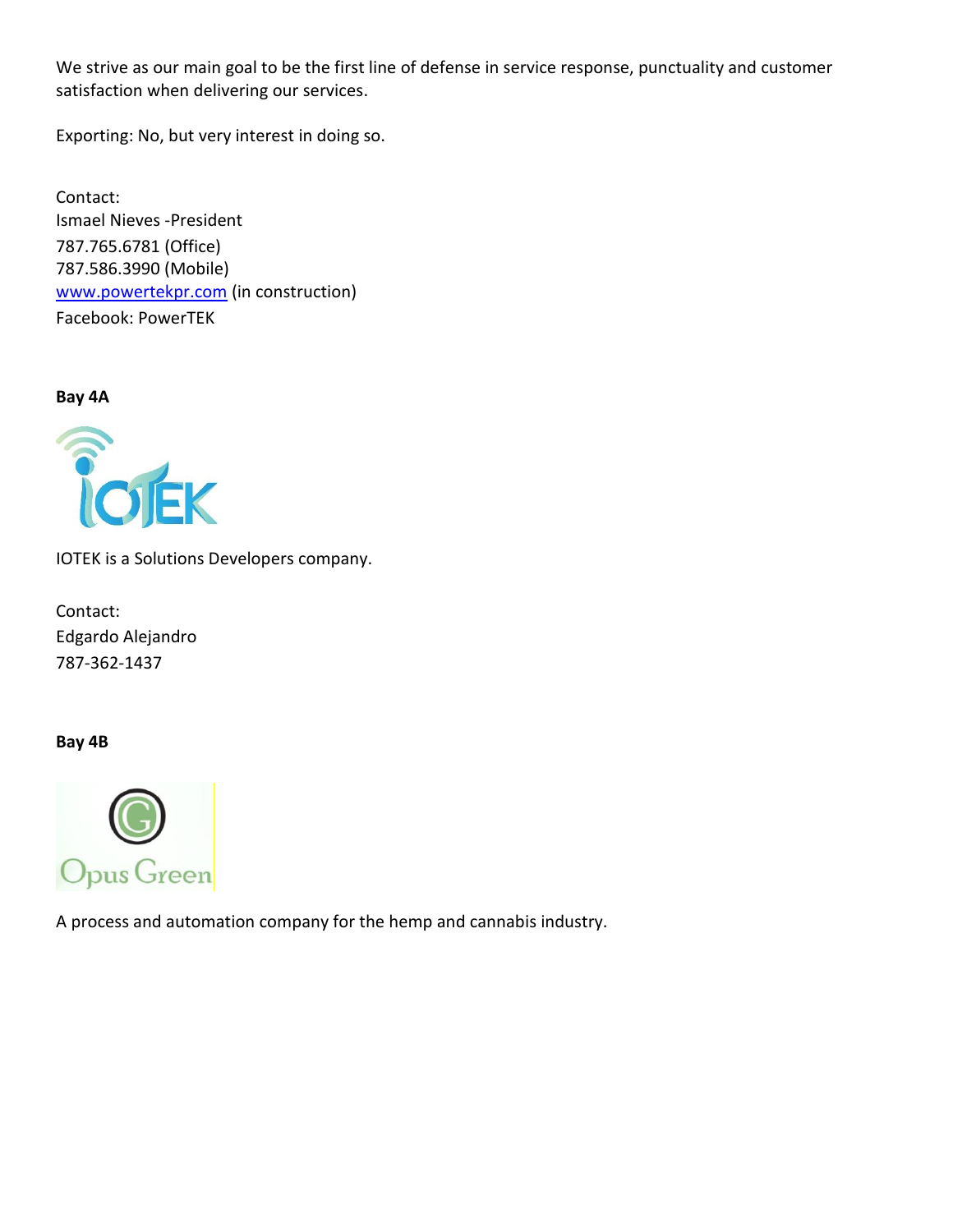We strive as our main goal to be the first line of defense in service response, punctuality and customer satisfaction when delivering our services.

Exporting: No, but very interest in doing so.

Contact: Ismael Nieves -President 787.765.6781 (Office) 787.586.3990 (Mobile) [www.powertekpr.com](http://www.powertekpr.com/) (in construction) Facebook: PowerTEK

**Bay 4A**



IOTEK is a Solutions Developers company.

Contact: Edgardo Alejandro 787-362-1437

**Bay 4B**



A process and automation company for the hemp and cannabis industry.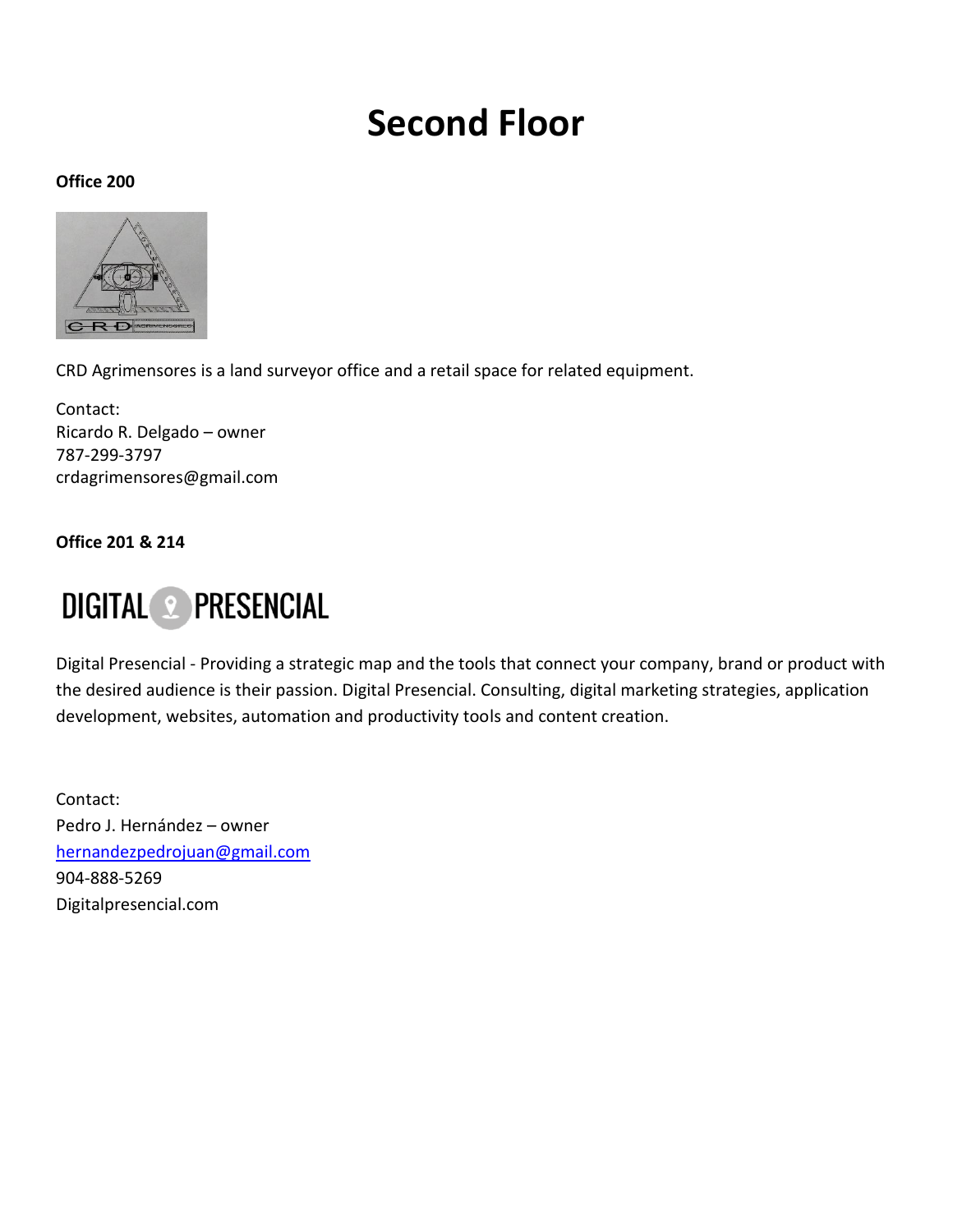### **Second Floor**

#### **Office 200**



CRD Agrimensores is a land surveyor office and a retail space for related equipment.

Contact: Ricardo R. Delgado – owner 787-299-3797 crdagrimensores@gmail.com

**Office 201 & 214**

### **DIGITAL 2 PRESENCIAL**

Digital Presencial - Providing a strategic map and the tools that connect your company, brand or product with the desired audience is their passion. Digital Presencial. Consulting, digital marketing strategies, application development, websites, automation and productivity tools and content creation.

Contact: Pedro J. Hernández – owner [hernandezpedrojuan@gmail.com](mailto:hernandezpedrojuan@gmail.com) 904-888-5269 Digitalpresencial.com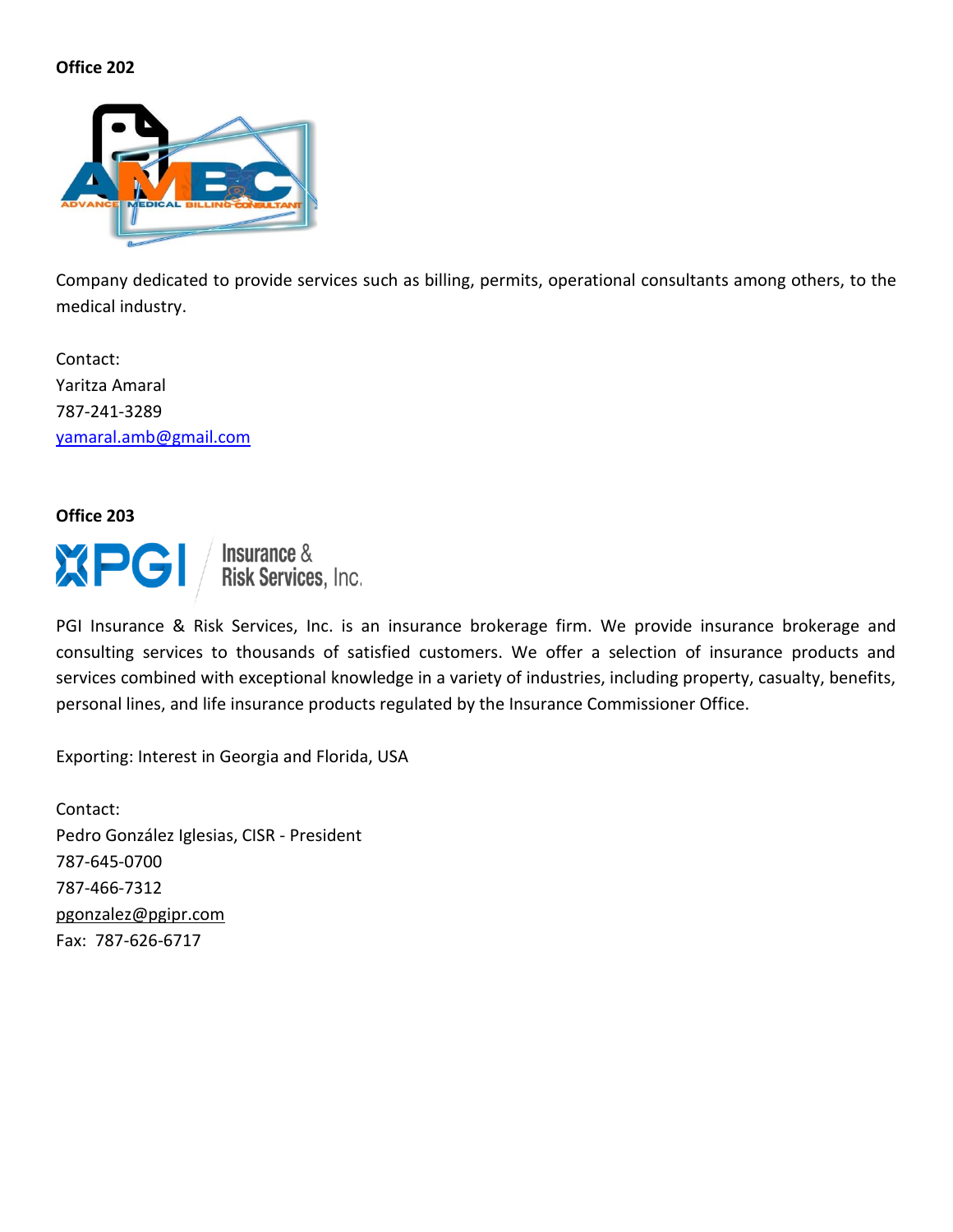

Company dedicated to provide services such as billing, permits, operational consultants among others, to the medical industry.

Contact: Yaritza Amaral 787-241-3289 [yamaral.amb@gmail.com](mailto:yamaral.amb@gmail.com)

**Office 203**

XPG

**Insurance & Risk Services, Inc.** 

PGI Insurance & Risk Services, Inc. is an insurance brokerage firm. We provide insurance brokerage and consulting services to thousands of satisfied customers. We offer a selection of insurance products and services combined with exceptional knowledge in a variety of industries, including property, casualty, benefits, personal lines, and life insurance products regulated by the Insurance Commissioner Office.

Exporting: Interest in Georgia and Florida, USA

Contact: Pedro González Iglesias, CISR - President 787-645-0700 787-466-7312 [pgonzalez@pgipr.com](mailto:pgonzalez@pgipr.com) Fax: 787-626-6717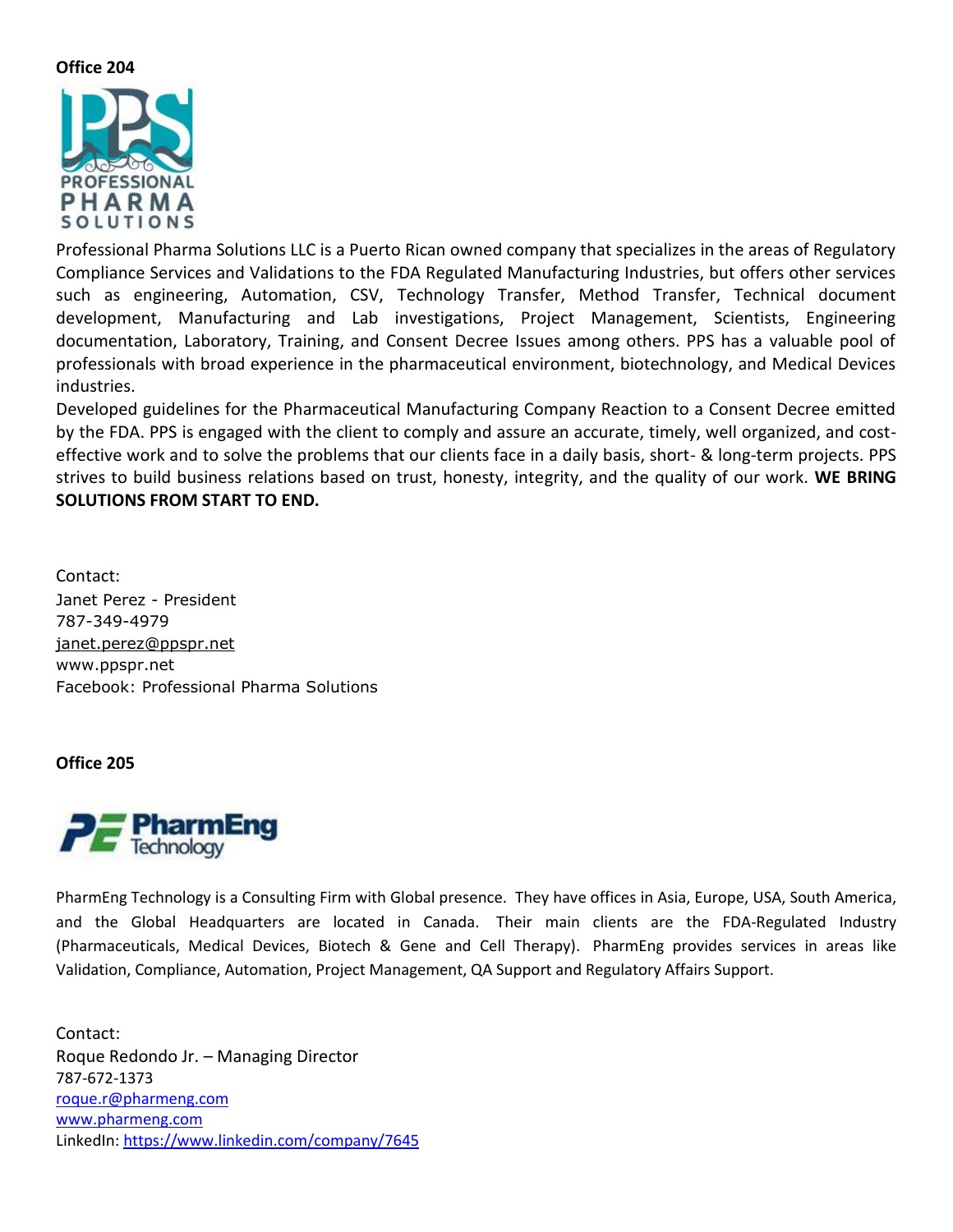

Professional Pharma Solutions LLC is a Puerto Rican owned company that specializes in the areas of Regulatory Compliance Services and Validations to the FDA Regulated Manufacturing Industries, but offers other services such as engineering, Automation, CSV, Technology Transfer, Method Transfer, Technical document development, Manufacturing and Lab investigations, Project Management, Scientists, Engineering documentation, Laboratory, Training, and Consent Decree Issues among others. PPS has a valuable pool of professionals with broad experience in the pharmaceutical environment, biotechnology, and Medical Devices industries.

Developed guidelines for the Pharmaceutical Manufacturing Company Reaction to a Consent Decree emitted by the FDA. PPS is engaged with the client to comply and assure an accurate, timely, well organized, and costeffective work and to solve the problems that our clients face in a daily basis, short- & long-term projects. PPS strives to build business relations based on trust, honesty, integrity, and the quality of our work. **WE BRING SOLUTIONS FROM START TO END.**

Contact: Janet Perez - President 787-349-4979 [janet.perez@ppspr.net](mailto:janet.perez@ppspr.net) www.ppspr.net Facebook: Professional Pharma Solutions

#### **Office 205**



PharmEng Technology is a Consulting Firm with Global presence. They have offices in Asia, Europe, USA, South America, and the Global Headquarters are located in Canada. Their main clients are the FDA-Regulated Industry (Pharmaceuticals, Medical Devices, Biotech & Gene and Cell Therapy). PharmEng provides services in areas like Validation, Compliance, Automation, Project Management, QA Support and Regulatory Affairs Support.

Contact: Roque Redondo Jr. – Managing Director 787-672-1373 [roque.r@pharmeng.com](mailto:roque.r@pharmeng.com) [www.pharmeng.com](http://www.pharmeng.com/) LinkedIn:<https://www.linkedin.com/company/7645>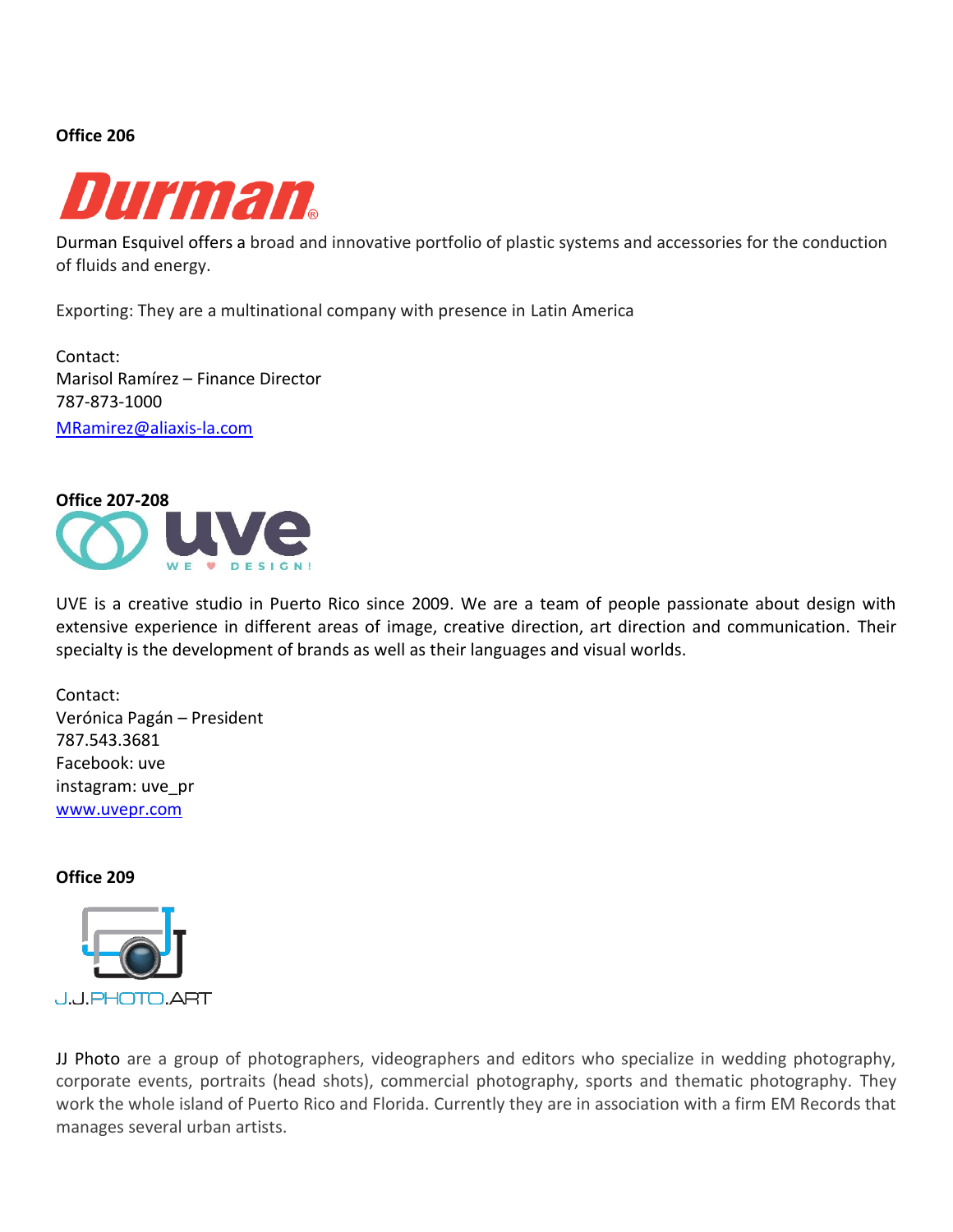

Durman Esquivel offers a broad and innovative portfolio of plastic systems and accessories for the conduction of fluids and energy.

Exporting: They are a multinational company with presence in Latin America

Contact: Marisol Ramírez – Finance Director 787-873-1000 [MRamirez@aliaxis-la.com](mailto:MRamirez@aliaxis-la.com)



UVE is a creative studio in Puerto Rico since 2009. We are a team of people passionate about design with extensive experience in different areas of image, creative direction, art direction and communication. Their specialty is the development of brands as well as their languages and visual worlds.

Contact: Verónica Pagán – President 787.543.3681 Facebook: uve instagram: uve\_pr [www.uvepr.com](http://www.uvepr.com/)

**Office 209**



JJ Photo are a group of photographers, videographers and editors who specialize in wedding photography, corporate events, portraits (head shots), commercial photography, sports and thematic photography. They work the whole island of Puerto Rico and Florida. Currently they are in association with a firm EM Records that manages several urban artists.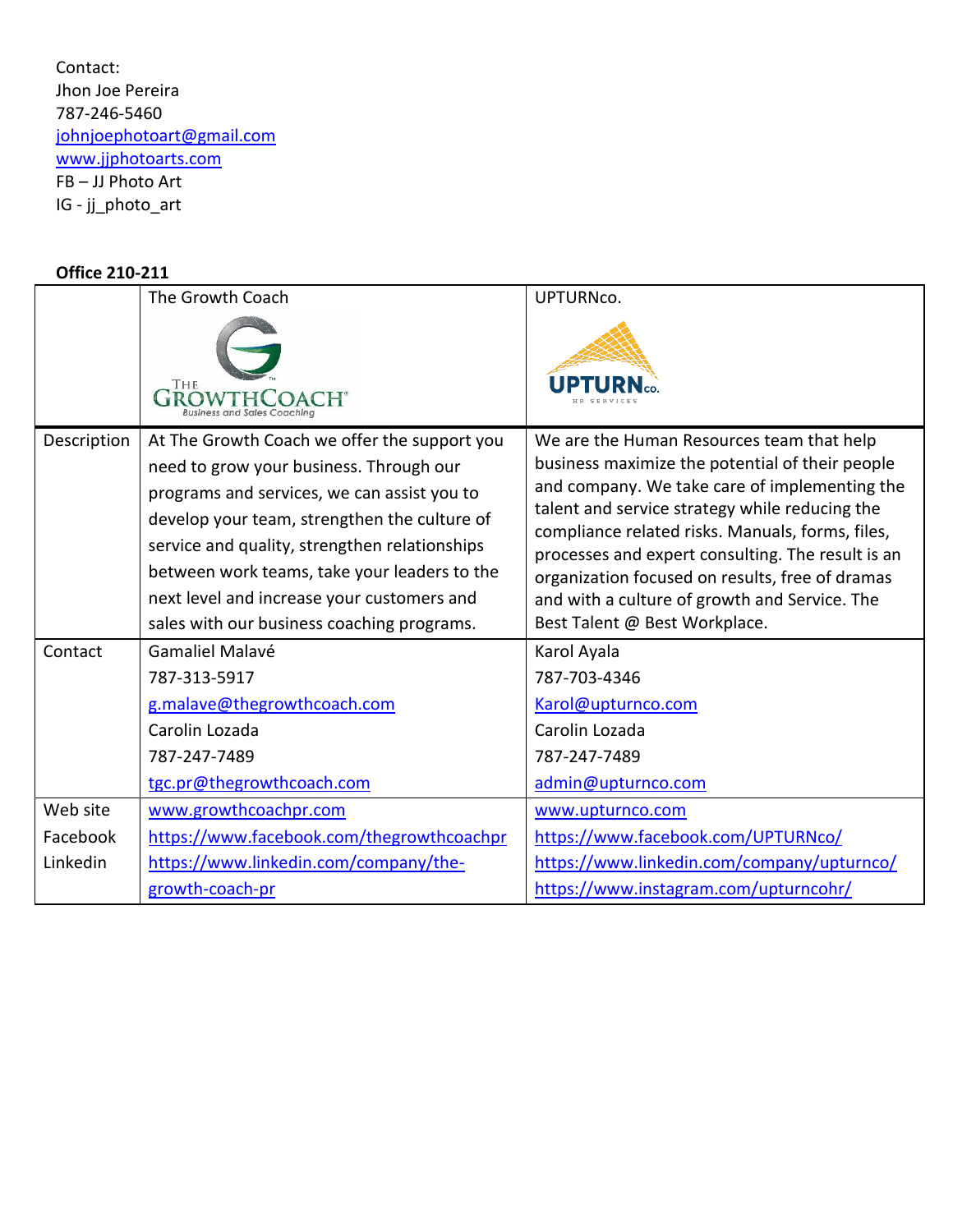Contact: Jhon Joe Pereira 787-246-5460 [johnjoephotoart@gmail.com](mailto:johnjoephotoart@gmail.com) [www.jjphotoarts.com](http://www.jjphotoarts.com/) FB – JJ Photo Art IG - jj\_photo\_art

#### **Office 210-211**

|             | The Growth Coach                                                                                                                                                                                                                                                                                                                                                                    | UPTURNco.                                                                                                                                                                                                                                                                                                                                                                                                                                     |
|-------------|-------------------------------------------------------------------------------------------------------------------------------------------------------------------------------------------------------------------------------------------------------------------------------------------------------------------------------------------------------------------------------------|-----------------------------------------------------------------------------------------------------------------------------------------------------------------------------------------------------------------------------------------------------------------------------------------------------------------------------------------------------------------------------------------------------------------------------------------------|
|             | THE                                                                                                                                                                                                                                                                                                                                                                                 |                                                                                                                                                                                                                                                                                                                                                                                                                                               |
| Description | At The Growth Coach we offer the support you<br>need to grow your business. Through our<br>programs and services, we can assist you to<br>develop your team, strengthen the culture of<br>service and quality, strengthen relationships<br>between work teams, take your leaders to the<br>next level and increase your customers and<br>sales with our business coaching programs. | We are the Human Resources team that help<br>business maximize the potential of their people<br>and company. We take care of implementing the<br>talent and service strategy while reducing the<br>compliance related risks. Manuals, forms, files,<br>processes and expert consulting. The result is an<br>organization focused on results, free of dramas<br>and with a culture of growth and Service. The<br>Best Talent @ Best Workplace. |
| Contact     | Gamaliel Malavé<br>787-313-5917<br>g.malave@thegrowthcoach.com<br>Carolin Lozada<br>787-247-7489<br>tgc.pr@thegrowthcoach.com                                                                                                                                                                                                                                                       | Karol Ayala<br>787-703-4346<br>Karol@upturnco.com<br>Carolin Lozada<br>787-247-7489<br>admin@upturnco.com                                                                                                                                                                                                                                                                                                                                     |
| Web site    | www.growthcoachpr.com                                                                                                                                                                                                                                                                                                                                                               | www.upturnco.com                                                                                                                                                                                                                                                                                                                                                                                                                              |
| Facebook    | https://www.facebook.com/thegrowthcoachpr                                                                                                                                                                                                                                                                                                                                           | https://www.facebook.com/UPTURNco/                                                                                                                                                                                                                                                                                                                                                                                                            |
| Linkedin    | https://www.linkedin.com/company/the-                                                                                                                                                                                                                                                                                                                                               | https://www.linkedin.com/company/upturnco/                                                                                                                                                                                                                                                                                                                                                                                                    |
|             | growth-coach-pr                                                                                                                                                                                                                                                                                                                                                                     | https://www.instagram.com/upturncohr/                                                                                                                                                                                                                                                                                                                                                                                                         |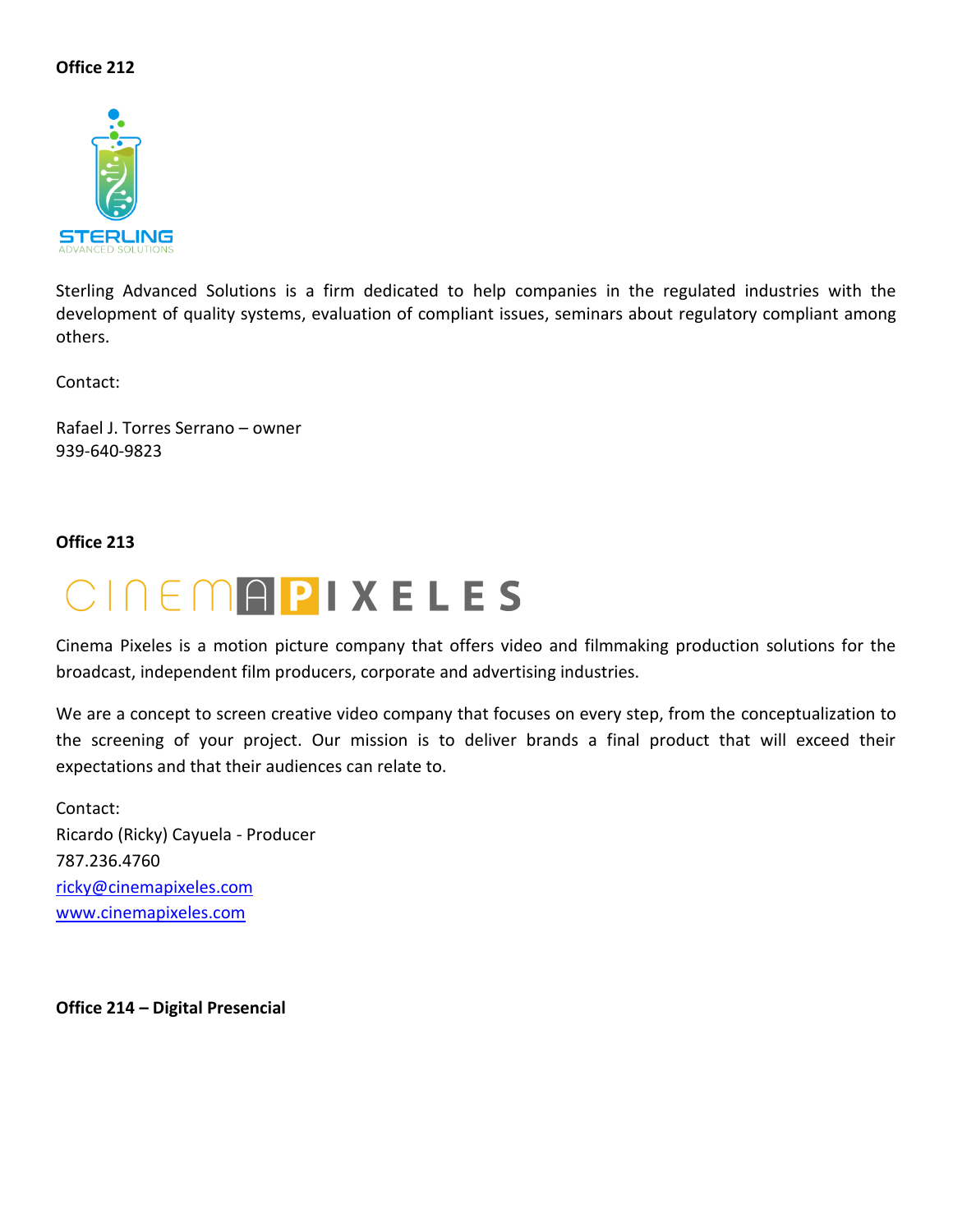

Sterling Advanced Solutions is a firm dedicated to help companies in the regulated industries with the development of quality systems, evaluation of compliant issues, seminars about regulatory compliant among others.

Contact:

Rafael J. Torres Serrano – owner 939-640-9823

#### **Office 213**



Cinema Pixeles is a motion picture company that offers video and filmmaking production solutions for the broadcast, independent film producers, corporate and advertising industries.

We are a concept to screen creative video company that focuses on every step, from the conceptualization to the screening of your project. Our mission is to deliver brands a final product that will exceed their expectations and that their audiences can relate to.

Contact: Ricardo (Ricky) Cayuela - Producer 787.236.4760 [ricky@cinemapixeles.com](mailto:ricky@cinemapixeles.com) [www.cinemapixeles.com](http://www.cinemapixeles.com/)

**Office 214 – Digital Presencial**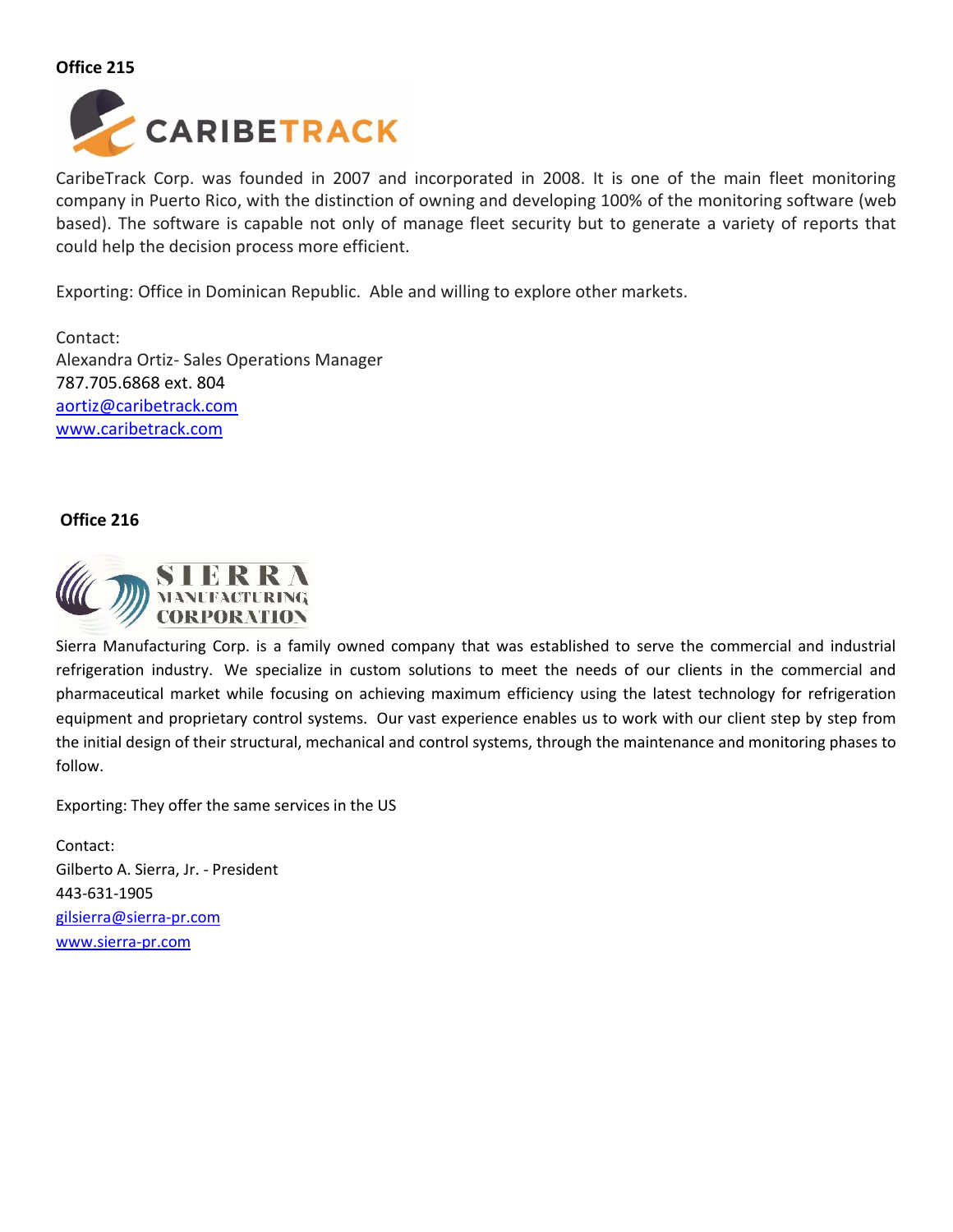

CaribeTrack Corp. was founded in 2007 and incorporated in 2008. It is one of the main fleet monitoring company in Puerto Rico, with the distinction of owning and developing 100% of the monitoring software (web based). The software is capable not only of manage fleet security but to generate a variety of reports that could help the decision process more efficient.

Exporting: Office in Dominican Republic. Able and willing to explore other markets.

Contact: Alexandra Ortiz- Sales Operations Manager 787.705.6868 ext. 804 [aortiz@caribetrack.com](mailto:aortiz@caribetrack.com) [www.caribetrack.com](http://www.caribetrack.com/)

#### **Office 216**



Sierra Manufacturing Corp. is a family owned company that was established to serve the commercial and industrial refrigeration industry. We specialize in custom solutions to meet the needs of our clients in the commercial and pharmaceutical market while focusing on achieving maximum efficiency using the latest technology for refrigeration equipment and proprietary control systems. Our vast experience enables us to work with our client step by step from the initial design of their structural, mechanical and control systems, through the maintenance and monitoring phases to follow.

Exporting: They offer the same services in the US

Contact: Gilberto A. Sierra, Jr. - President 443-631-1905 [gilsierra@sierra-pr.com](mailto:gilsierra@sierra-pr.com) [www.sierra-pr.com](http://www.sierra-pr.com/)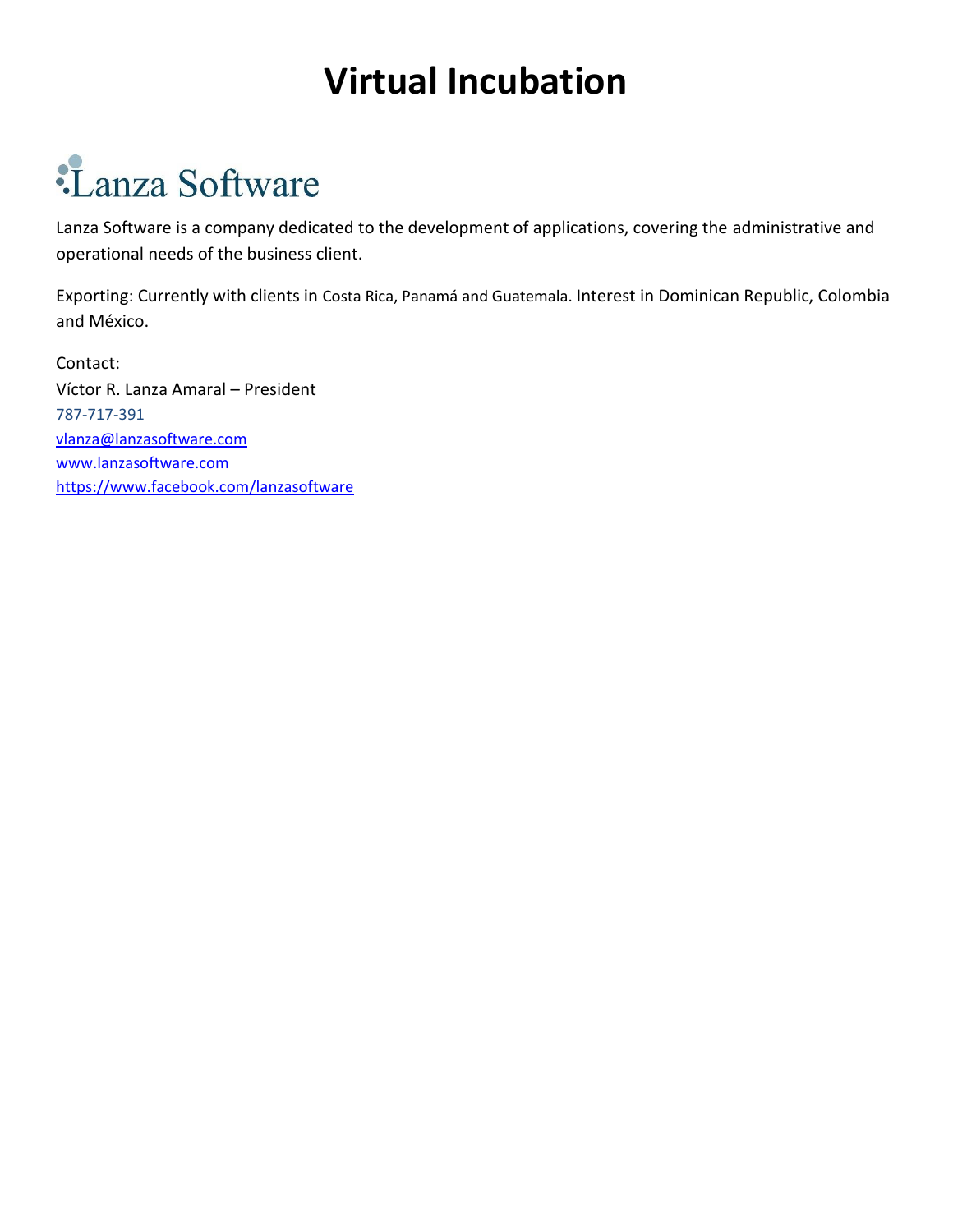### **Virtual Incubation**

# :Lanza Software

Lanza Software is a company dedicated to the development of applications, covering the administrative and operational needs of the business client.

Exporting: Currently with clients in Costa Rica, Panamá and Guatemala. Interest in Dominican Republic, Colombia and México.

Contact: Víctor R. Lanza Amaral – President 787-717-391 [vlanza@lanzasoftware.com](mailto:vlanza@lanzasoftware.com) [www.lanzasoftware.com](http://www.lanzasoftware.com/) <https://www.facebook.com/lanzasoftware>